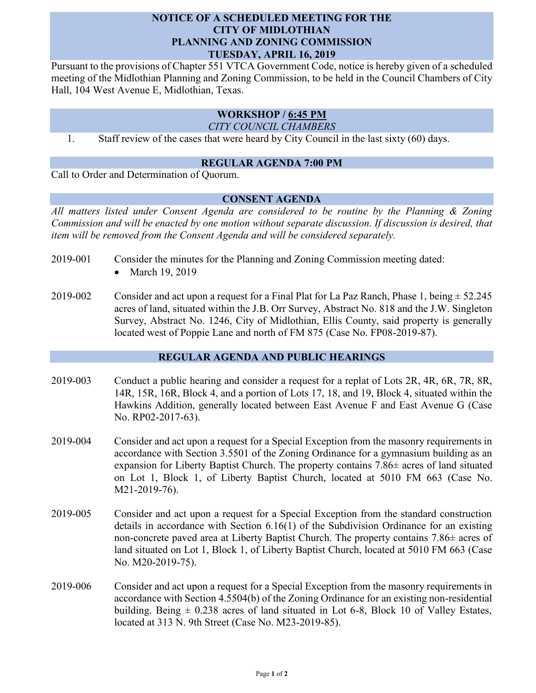## **NOTICE OF A SCHEDULED MEETING FOR THE CITY OF MIDLOTHIAN PLANNING AND ZONING COMMISSION TUESDAY, APRIL 16, 2019**

Pursuant to the provisions of Chapter 551 VTCA Government Code, notice is hereby given of a scheduled meeting of the Midlothian Planning and Zoning Commission, to be held in the Council Chambers of City Hall, 104 West Avenue E, Midlothian, Texas.

# **WORKSHOP / 6:45 PM**

*CITY COUNCIL CHAMBERS*

1. Staff review of the cases that were heard by City Council in the last sixty (60) days.

#### **REGULAR AGENDA 7:00 PM**

Call to Order and Determination of Quorum.

### **CONSENT AGENDA**

*All matters listed under Consent Agenda are considered to be routine by the Planning & Zoning Commission and will be enacted by one motion without separate discussion. If discussion is desired, that item will be removed from the Consent Agenda and will be considered separately.*

- 2019-001 Consider the minutes for the Planning and Zoning Commission meeting dated:
	- March 19, 2019
- 2019-002 Consider and act upon a request for a Final Plat for La Paz Ranch, Phase 1, being  $\pm$  52.245 acres of land, situated within the J.B. Orr Survey, Abstract No. 818 and the J.W. Singleton Survey, Abstract No. 1246, City of Midlothian, Ellis County, said property is generally located west of Poppie Lane and north of FM 875 (Case No. FP08-2019-87).

## **REGULAR AGENDA AND PUBLIC HEARINGS**

- 2019-003 Conduct a public hearing and consider a request for a replat of Lots 2R, 4R, 6R, 7R, 8R, 14R, 15R, 16R, Block 4, and a portion of Lots 17, 18, and 19, Block 4, situated within the Hawkins Addition, generally located between East Avenue F and East Avenue G (Case No. RP02-2017-63).
- 2019-004 Consider and act upon a request for a Special Exception from the masonry requirements in accordance with Section 3.5501 of the Zoning Ordinance for a gymnasium building as an expansion for Liberty Baptist Church. The property contains 7.86± acres of land situated on Lot 1, Block 1, of Liberty Baptist Church, located at 5010 FM 663 (Case No. M21-2019-76).
- 2019-005 Consider and act upon a request for a Special Exception from the standard construction details in accordance with Section 6.16(1) of the Subdivision Ordinance for an existing non-concrete paved area at Liberty Baptist Church. The property contains 7.86± acres of land situated on Lot 1, Block 1, of Liberty Baptist Church, located at 5010 FM 663 (Case No. M20-2019-75).
- 2019-006 Consider and act upon a request for a Special Exception from the masonry requirements in accordance with Section 4.5504(b) of the Zoning Ordinance for an existing non-residential building. Being  $\pm$  0.238 acres of land situated in Lot 6-8, Block 10 of Valley Estates, located at 313 N. 9th Street (Case No. M23-2019-85).